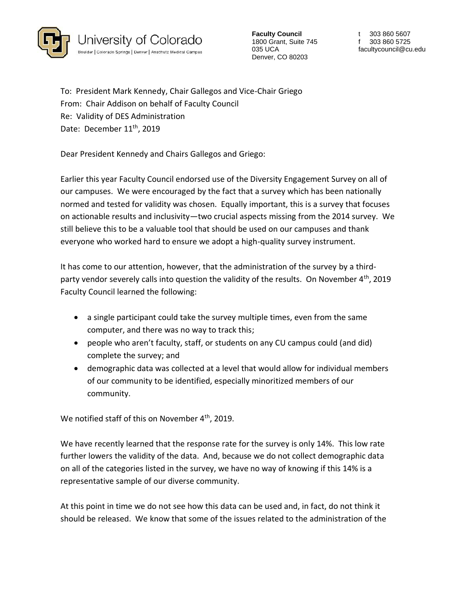

**Faculty Council** 1800 Grant, Suite 745 035 UCA Denver, CO 80203

t 303 860 5607 f 303 860 5725 facultycouncil@cu.edu

To: President Mark Kennedy, Chair Gallegos and Vice-Chair Griego From: Chair Addison on behalf of Faculty Council Re: Validity of DES Administration Date: December 11<sup>th</sup>, 2019

Dear President Kennedy and Chairs Gallegos and Griego:

Earlier this year Faculty Council endorsed use of the Diversity Engagement Survey on all of our campuses. We were encouraged by the fact that a survey which has been nationally normed and tested for validity was chosen. Equally important, this is a survey that focuses on actionable results and inclusivity—two crucial aspects missing from the 2014 survey. We still believe this to be a valuable tool that should be used on our campuses and thank everyone who worked hard to ensure we adopt a high-quality survey instrument.

It has come to our attention, however, that the administration of the survey by a thirdparty vendor severely calls into question the validity of the results. On November 4<sup>th</sup>, 2019 Faculty Council learned the following:

- a single participant could take the survey multiple times, even from the same computer, and there was no way to track this;
- people who aren't faculty, staff, or students on any CU campus could (and did) complete the survey; and
- demographic data was collected at a level that would allow for individual members of our community to be identified, especially minoritized members of our community.

We notified staff of this on November 4<sup>th</sup>, 2019.

We have recently learned that the response rate for the survey is only 14%. This low rate further lowers the validity of the data. And, because we do not collect demographic data on all of the categories listed in the survey, we have no way of knowing if this 14% is a representative sample of our diverse community.

At this point in time we do not see how this data can be used and, in fact, do not think it should be released. We know that some of the issues related to the administration of the